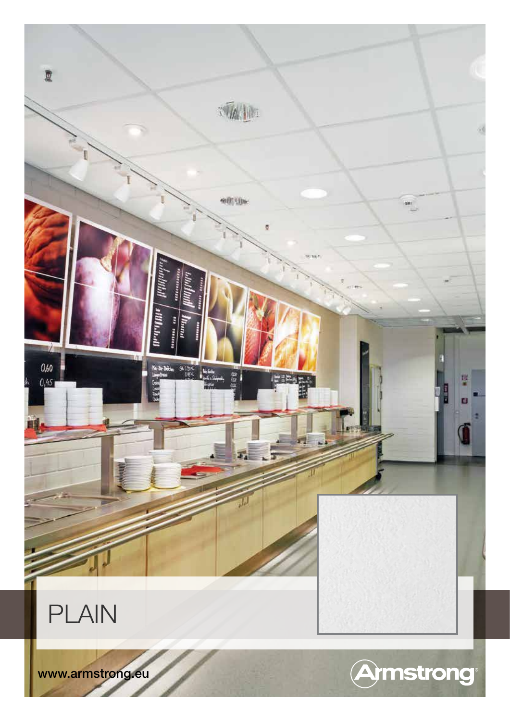